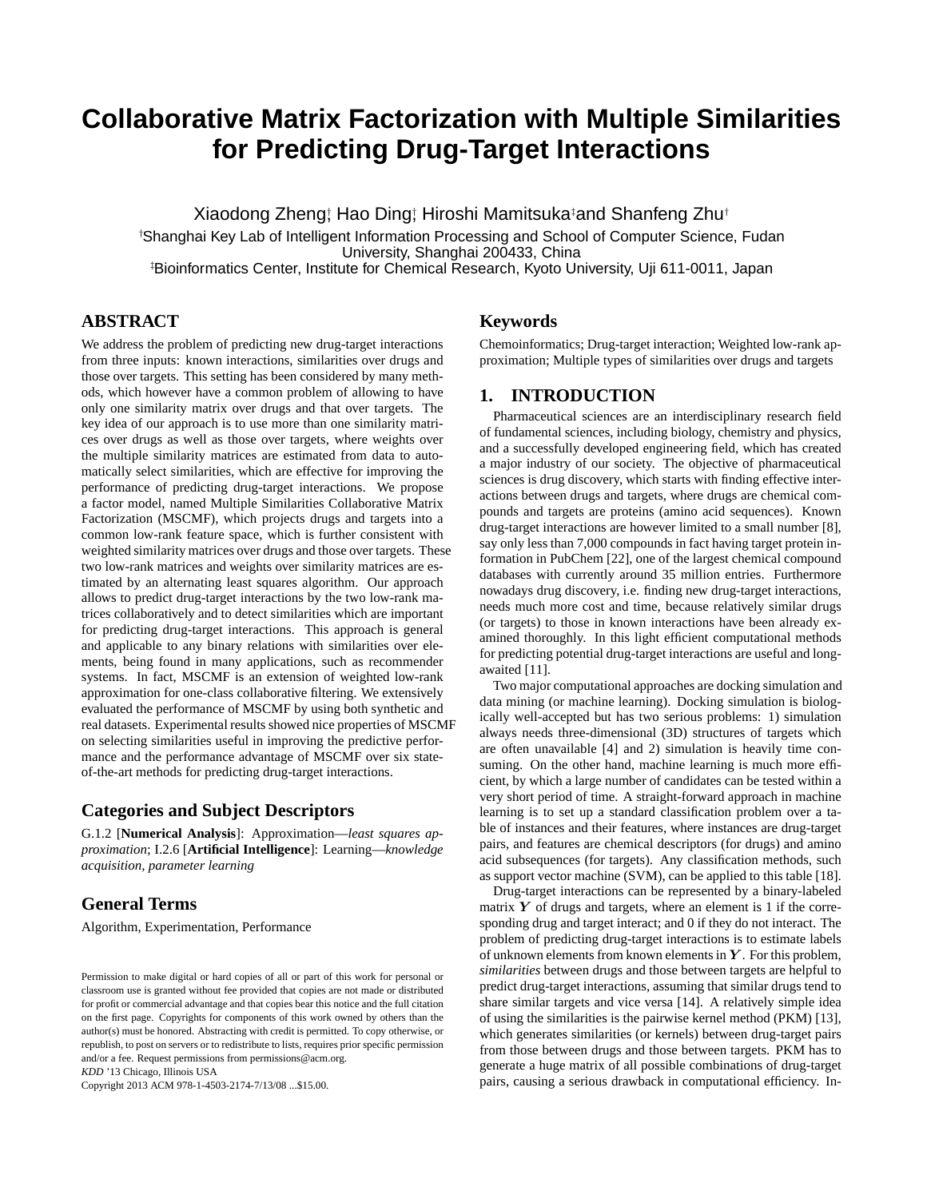# **Collaborative Matrix Factorization with Multiple Similarities for Predicting Drug-Target Interactions**

Xiaodong Zheng; Hao Ding; Hiroshi Mamitsuka‡and Shanfeng Zhu†

† Shanghai Key Lab of Intelligent Information Processing and School of Computer Science, Fudan University, Shanghai 200433, China ‡ Bioinformatics Center, Institute for Chemical Research, Kyoto University, Uji 611-0011, Japan

# **ABSTRACT**

We address the problem of predicting new drug-target interactions from three inputs: known interactions, similarities over drugs and those over targets. This setting has been considered by many methods, which however have a common problem of allowing to have only one similarity matrix over drugs and that over targets. The key idea of our approach is to use more than one similarity matrices over drugs as well as those over targets, where weights over the multiple similarity matrices are estimated from data to automatically select similarities, which are effective for improving the performance of predicting drug-target interactions. We propose a factor model, named Multiple Similarities Collaborative Matrix Factorization (MSCMF), which projects drugs and targets into a common low-rank feature space, which is further consistent with weighted similarity matrices over drugs and those over targets. These two low-rank matrices and weights over similarity matrices are estimated by an alternating least squares algorithm. Our approach allows to predict drug-target interactions by the two low-rank matrices collaboratively and to detect similarities which are important for predicting drug-target interactions. This approach is general and applicable to any binary relations with similarities over elements, being found in many applications, such as recommender systems. In fact, MSCMF is an extension of weighted low-rank approximation for one-class collaborative filtering. We extensively evaluated the performance of MSCMF by using both synthetic and real datasets. Experimental results showed nice properties of MSCMF on selecting similarities useful in improving the predictive performance and the performance advantage of MSCMF over six stateof-the-art methods for predicting drug-target interactions.

# **Categories and Subject Descriptors**

G.1.2 [**Numerical Analysis**]: Approximation—*least squares approximation*; I.2.6 [**Artificial Intelligence**]: Learning—*knowledge acquisition, parameter learning*

# **General Terms**

Algorithm, Experimentation, Performance

Copyright 2013 ACM 978-1-4503-2174-7/13/08 ...\$15.00.

# **Keywords**

Chemoinformatics; Drug-target interaction; Weighted low-rank approximation; Multiple types of similarities over drugs and targets

# **1. INTRODUCTION**

Pharmaceutical sciences are an interdisciplinary research field of fundamental sciences, including biology, chemistry and physics, and a successfully developed engineering field, which has created a major industry of our society. The objective of pharmaceutical sciences is drug discovery, which starts with finding effective interactions between drugs and targets, where drugs are chemical compounds and targets are proteins (amino acid sequences). Known drug-target interactions are however limited to a small number [8], say only less than 7,000 compounds in fact having target protein information in PubChem [22], one of the largest chemical compound databases with currently around 35 million entries. Furthermore nowadays drug discovery, i.e. finding new drug-target interactions, needs much more cost and time, because relatively similar drugs (or targets) to those in known interactions have been already examined thoroughly. In this light efficient computational methods for predicting potential drug-target interactions are useful and longawaited [11].

Two major computational approaches are docking simulation and data mining (or machine learning). Docking simulation is biologically well-accepted but has two serious problems: 1) simulation always needs three-dimensional (3D) structures of targets which are often unavailable [4] and 2) simulation is heavily time consuming. On the other hand, machine learning is much more efficient, by which a large number of candidates can be tested within a very short period of time. A straight-forward approach in machine learning is to set up a standard classification problem over a table of instances and their features, where instances are drug-target pairs, and features are chemical descriptors (for drugs) and amino acid subsequences (for targets). Any classification methods, such as support vector machine (SVM), can be applied to this table [18].

Drug-target interactions can be represented by a binary-labeled matrix  $Y$  of drugs and targets, where an element is 1 if the corresponding drug and target interact; and 0 if they do not interact. The problem of predicting drug-target interactions is to estimate labels of unknown elements from known elements in *Y* . For this problem, *similarities* between drugs and those between targets are helpful to predict drug-target interactions, assuming that similar drugs tend to share similar targets and vice versa [14]. A relatively simple idea of using the similarities is the pairwise kernel method (PKM) [13], which generates similarities (or kernels) between drug-target pairs from those between drugs and those between targets. PKM has to generate a huge matrix of all possible combinations of drug-target pairs, causing a serious drawback in computational efficiency. In-

Permission to make digital or hard copies of all or part of this work for personal or classroom use is granted without fee provided that copies are not made or distributed for profit or commercial advantage and that copies bear this notice and the full citation on the first page. Copyrights for components of this work owned by others than the author(s) must be honored. Abstracting with credit is permitted. To copy otherwise, or republish, to post on servers or to redistribute to lists, requires prior specific permission and/or a fee. Request permissions from permissions@acm.org. *KDD* '13 Chicago, Illinois USA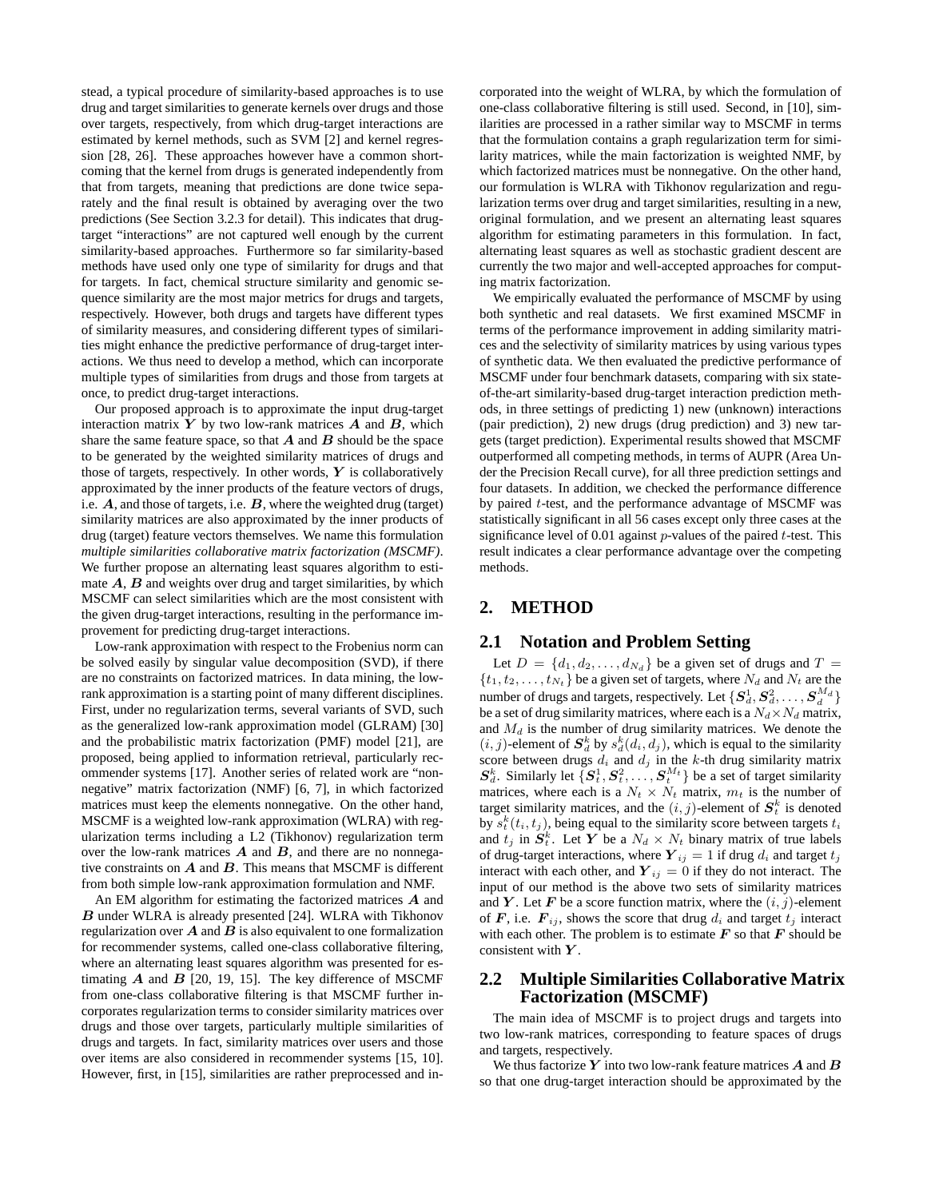stead, a typical procedure of similarity-based approaches is to use drug and target similarities to generate kernels over drugs and those over targets, respectively, from which drug-target interactions are estimated by kernel methods, such as SVM [2] and kernel regression [28, 26]. These approaches however have a common shortcoming that the kernel from drugs is generated independently from that from targets, meaning that predictions are done twice separately and the final result is obtained by averaging over the two predictions (See Section 3.2.3 for detail). This indicates that drugtarget "interactions" are not captured well enough by the current similarity-based approaches. Furthermore so far similarity-based methods have used only one type of similarity for drugs and that for targets. In fact, chemical structure similarity and genomic sequence similarity are the most major metrics for drugs and targets, respectively. However, both drugs and targets have different types of similarity measures, and considering different types of similarities might enhance the predictive performance of drug-target interactions. We thus need to develop a method, which can incorporate multiple types of similarities from drugs and those from targets at once, to predict drug-target interactions.

Our proposed approach is to approximate the input drug-target interaction matrix *Y* by two low-rank matrices *A* and *B*, which share the same feature space, so that  $\vec{A}$  and  $\vec{B}$  should be the space to be generated by the weighted similarity matrices of drugs and those of targets, respectively. In other words,  $\boldsymbol{Y}$  is collaboratively approximated by the inner products of the feature vectors of drugs, i.e.  $\vec{A}$ , and those of targets, i.e.  $\vec{B}$ , where the weighted drug (target) similarity matrices are also approximated by the inner products of drug (target) feature vectors themselves. We name this formulation *multiple similarities collaborative matrix factorization (MSCMF)*. We further propose an alternating least squares algorithm to estimate *A*, *B* and weights over drug and target similarities, by which MSCMF can select similarities which are the most consistent with the given drug-target interactions, resulting in the performance improvement for predicting drug-target interactions.

Low-rank approximation with respect to the Frobenius norm can be solved easily by singular value decomposition (SVD), if there are no constraints on factorized matrices. In data mining, the lowrank approximation is a starting point of many different disciplines. First, under no regularization terms, several variants of SVD, such as the generalized low-rank approximation model (GLRAM) [30] and the probabilistic matrix factorization (PMF) model [21], are proposed, being applied to information retrieval, particularly recommender systems [17]. Another series of related work are "nonnegative" matrix factorization (NMF) [6, 7], in which factorized matrices must keep the elements nonnegative. On the other hand, MSCMF is a weighted low-rank approximation (WLRA) with regularization terms including a L2 (Tikhonov) regularization term over the low-rank matrices *A* and *B*, and there are no nonnegative constraints on *A* and *B*. This means that MSCMF is different from both simple low-rank approximation formulation and NMF.

An EM algorithm for estimating the factorized matrices *A* and *B* under WLRA is already presented [24]. WLRA with Tikhonov regularization over *A* and *B* is also equivalent to one formalization for recommender systems, called one-class collaborative filtering, where an alternating least squares algorithm was presented for estimating  $\vec{A}$  and  $\vec{B}$  [20, 19, 15]. The key difference of MSCMF from one-class collaborative filtering is that MSCMF further incorporates regularization terms to consider similarity matrices over drugs and those over targets, particularly multiple similarities of drugs and targets. In fact, similarity matrices over users and those over items are also considered in recommender systems [15, 10]. However, first, in [15], similarities are rather preprocessed and incorporated into the weight of WLRA, by which the formulation of one-class collaborative filtering is still used. Second, in [10], similarities are processed in a rather similar way to MSCMF in terms that the formulation contains a graph regularization term for similarity matrices, while the main factorization is weighted NMF, by which factorized matrices must be nonnegative. On the other hand, our formulation is WLRA with Tikhonov regularization and regularization terms over drug and target similarities, resulting in a new, original formulation, and we present an alternating least squares algorithm for estimating parameters in this formulation. In fact, alternating least squares as well as stochastic gradient descent are currently the two major and well-accepted approaches for computing matrix factorization.

We empirically evaluated the performance of MSCMF by using both synthetic and real datasets. We first examined MSCMF in terms of the performance improvement in adding similarity matrices and the selectivity of similarity matrices by using various types of synthetic data. We then evaluated the predictive performance of MSCMF under four benchmark datasets, comparing with six stateof-the-art similarity-based drug-target interaction prediction methods, in three settings of predicting 1) new (unknown) interactions (pair prediction), 2) new drugs (drug prediction) and 3) new targets (target prediction). Experimental results showed that MSCMF outperformed all competing methods, in terms of AUPR (Area Under the Precision Recall curve), for all three prediction settings and four datasets. In addition, we checked the performance difference by paired t-test, and the performance advantage of MSCMF was statistically significant in all 56 cases except only three cases at the significance level of 0.01 against  $p$ -values of the paired  $t$ -test. This result indicates a clear performance advantage over the competing methods.

# **2. METHOD**

## **2.1 Notation and Problem Setting**

Let  $D = \{d_1, d_2, \ldots, d_{N_d}\}$  be a given set of drugs and  $T =$  $\{t_1, t_2, \ldots, t_{N_t}\}$  be a given set of targets, where  $N_d$  and  $N_t$  are the number of drugs and targets, respectively. Let  $\{\boldsymbol{S}^1_d, \boldsymbol{S}^2_d, \dots, \boldsymbol{S}^{M_d}_d\}$ be a set of drug similarity matrices, where each is a  $N_d \times N_d$  matrix, and  $M_d$  is the number of drug similarity matrices. We denote the  $(i, j)$ -element of  $S_a^k$  by  $s_d^k(d_i, d_j)$ , which is equal to the similarity<br>score between drugs  $d_i$  and  $d_j$  in the k-th drug similarity matrix score between drugs  $d_i$  and  $d_j$  in the k-th drug similarity matrix  $S_d^k$ . Similarly let  $\{S_t^1, S_t^2, \ldots, S_t^{M_t}\}$  be a set of target similarity matrices, where each is a  $N_t \times N_t$  matrix,  $m_t$  is the number of target similarity matrices, and the  $(i, j)$ -element of  $S_k^k$  is denoted<br>by  $s_k^k(t, t_+)$  being equal to the similarity score between targets t by  $s_t^k(t_i, t_j)$ , being equal to the similarity score between targets  $t_i$  and  $t_j$  in  $S_t^k$ . Let *Y* be a  $N_d \times N_t$  binary matrix of true labels of drug-target interactions, where  $Y_{ij} = 1$  if drug  $d_i$  and target  $t_j$ interact with each other, and  $Y_{ij} = 0$  if they do not interact. The input of our method is the above two sets of similarity matrices and  $Y$ . Let  $F$  be a score function matrix, where the  $(i, j)$ -element of  $\mathbf{F}$ , i.e.  $\mathbf{F}_{ii}$ , shows the score that drug  $d_i$  and target  $t_i$  interact with each other. The problem is to estimate  $\boldsymbol{F}$  so that  $\boldsymbol{F}$  should be consistent with *Y* .

## **2.2 Multiple Similarities Collaborative Matrix Factorization (MSCMF)**

The main idea of MSCMF is to project drugs and targets into two low-rank matrices, corresponding to feature spaces of drugs and targets, respectively.

We thus factorize *Y* into two low-rank feature matrices *A* and *B* so that one drug-target interaction should be approximated by the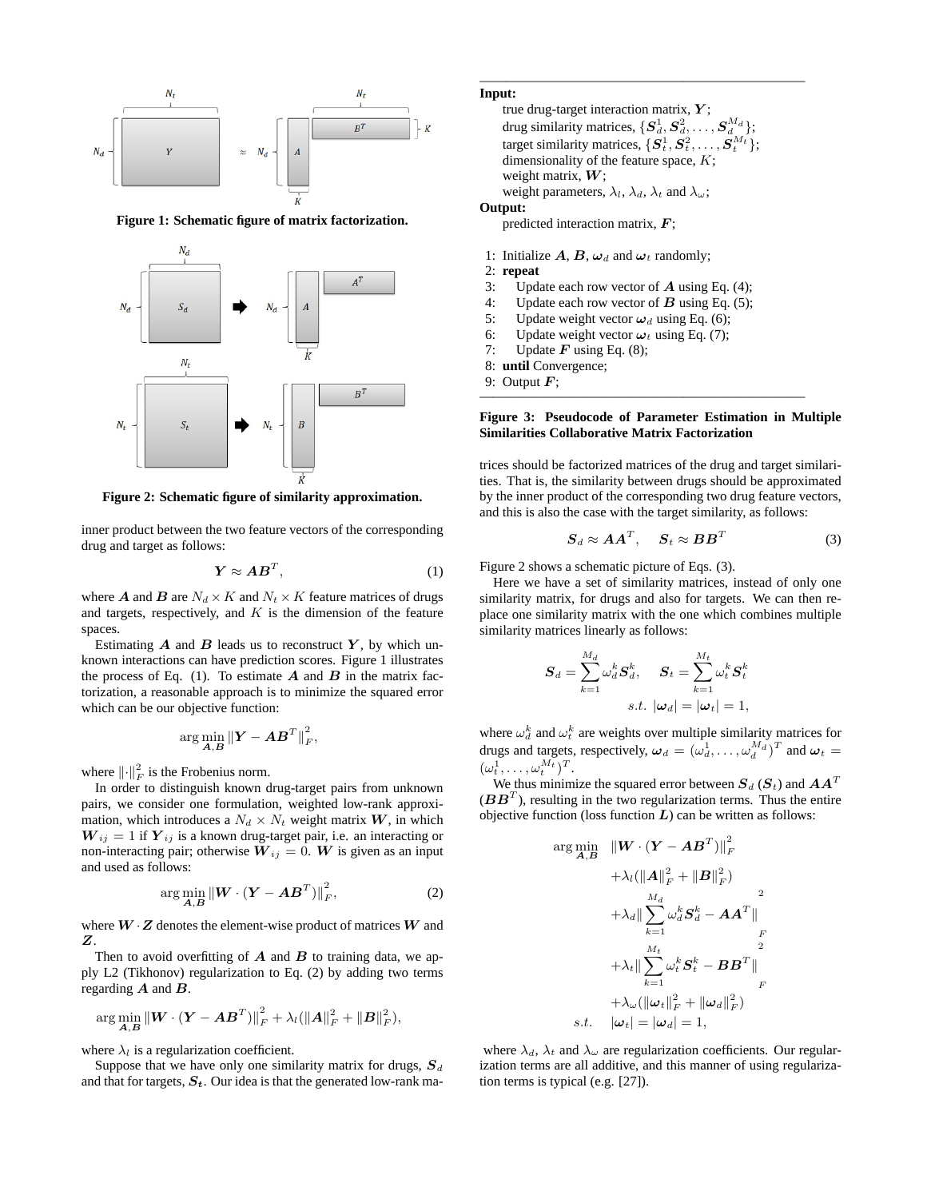

**Figure 1: Schematic figure of matrix factorization.**



**Figure 2: Schematic figure of similarity approximation.**

inner product between the two feature vectors of the corresponding drug and target as follows:

$$
\boldsymbol{Y} \approx \boldsymbol{A}\boldsymbol{B}^T,\tag{1}
$$

where **A** and **B** are  $N_d \times K$  and  $N_t \times K$  feature matrices of drugs and targets, respectively, and  $K$  is the dimension of the feature spaces.

Estimating  $A$  and  $B$  leads us to reconstruct  $Y$ , by which unknown interactions can have prediction scores. Figure 1 illustrates the process of Eq. (1). To estimate  $A$  and  $B$  in the matrix factorization, a reasonable approach is to minimize the squared error which can be our objective function:

$$
\arg\min_{\boldsymbol{A},\boldsymbol{B}}\|\boldsymbol{Y}-\boldsymbol{A}\boldsymbol{B}^T\|_F^2,
$$

where  $\lVert \cdot \rVert_F^2$  is the Frobenius norm.

In order to distinguish known drug-target pairs from unknown pairs, we consider one formulation, weighted low-rank approximation, which introduces a  $N_d \times N_t$  weight matrix **W**, in which  $W_{ij} = 1$  if  $Y_{ij}$  is a known drug-target pair, i.e. an interacting or non-interacting pair; otherwise  $W_{ij} = 0$ . *W* is given as an input and used as follows:

$$
\arg\min_{\mathbf{A},\mathbf{B}} \|\mathbf{W} \cdot (\mathbf{Y} - \mathbf{A}\mathbf{B}^T)\|_F^2, \tag{2}
$$

where  $W \cdot Z$  denotes the element-wise product of matrices  $W$  and *Z*.

Then to avoid overfitting of  $A$  and  $B$  to training data, we apply L2 (Tikhonov) regularization to Eq. (2) by adding two terms regarding *A* and *B*.

$$
\arg\min_{\mathbf{A},\mathbf{B}} \|\mathbf{W} \cdot (\mathbf{Y} - \mathbf{A}\mathbf{B}^T)\|_F^2 + \lambda_l (\|\mathbf{A}\|_F^2 + \|\mathbf{B}\|_F^2),
$$

where  $\lambda_l$  is a regularization coefficient.

Suppose that we have only one similarity matrix for drugs,  $S_d$ and that for targets, *St*. Our idea is that the generated low-rank ma-

#### ———————————————————————— **Input:**

true drug-target interaction matrix, *Y* ; drug similarity matrices,  $\{S_d^1, S_d^2, \ldots, S_d^{M_d}\};$ target similarity matrices,  $\{\boldsymbol{S}^1_t, \boldsymbol{S}^2_t, \dots, \boldsymbol{S}^{M_t}_t\};$ dimensionality of the feature space,  $K$ ; weight matrix, *W*; weight parameters,  $\lambda_l$ ,  $\lambda_d$ ,  $\lambda_t$  and  $\lambda_\omega$ ;

#### **Output:**

predicted interaction matrix, *F* ;

1: Initialize  $\vec{A}$ ,  $\vec{B}$ ,  $\omega_d$  and  $\omega_t$  randomly;

#### 2: **repeat**

- 3: Update each row vector of *A* using Eq. (4);
- 4: Update each row vector of *B* using Eq. (5);
- 5: Update weight vector  $\omega_d$  using Eq. (6);
- 6: Update weight vector  $\omega_t$  using Eq. (7);
- 7: Update  $\boldsymbol{F}$  using Eq. (8);
- 8: **until** Convergence;

9: Output  $F$ ;

#### **Figure 3: Pseudocode of Parameter Estimation in Multiple Similarities Collaborative Matrix Factorization**

————————————————————————

trices should be factorized matrices of the drug and target similarities. That is, the similarity between drugs should be approximated by the inner product of the corresponding two drug feature vectors, and this is also the case with the target similarity, as follows:

$$
\boldsymbol{S}_d \approx \boldsymbol{A} \boldsymbol{A}^T, \quad \boldsymbol{S}_t \approx \boldsymbol{B} \boldsymbol{B}^T \tag{3}
$$

Figure 2 shows a schematic picture of Eqs. (3).

Here we have a set of similarity matrices, instead of only one similarity matrix, for drugs and also for targets. We can then replace one similarity matrix with the one which combines multiple similarity matrices linearly as follows:

$$
S_d = \sum_{k=1}^{M_d} \omega_d^k S_d^k, \quad S_t = \sum_{k=1}^{M_t} \omega_t^k S_t^k
$$
  
s.t.  $|\boldsymbol{\omega}_d| = |\boldsymbol{\omega}_t| = 1$ ,

where  $\omega_d^k$  and  $\omega_t^k$  are weights over multiple similarity matrices for drugs and targets, respectively,  $\omega_d = (\omega_d^1, \dots, \omega_d^{M_d})^T$  and  $\omega_t = (\omega_d^1, \dots, \omega_d^{M_d})^T$  $(\omega_t^1, \ldots, \omega_t^{M_t})^T$ .<br>We thus minim

 $t, \ldots, \omega_t$  ) .<br>We thus minimize the squared error between  $S_d$  ( $S_t$ ) and  $AA^T$  $(BB<sup>T</sup>)$ , resulting in the two regularization terms. Thus the entire objective function (loss function  $L$ ) can be written as follows:

$$
\arg\min_{\mathbf{A},\mathbf{B}} \quad \|\mathbf{W} \cdot (\mathbf{Y} - \mathbf{A}\mathbf{B}^T)\|_F^2
$$
  
+  $\lambda_l (\|\mathbf{A}\|_F^2 + \|\mathbf{B}\|_F^2)$   
+  $\lambda_d \|\sum_{k=1}^{M_d} \omega_d^k \mathbf{S}_d^k - \mathbf{A}\mathbf{A}^T\|_F^2$   
+  $\lambda_t \|\sum_{k=1}^{M_t} \omega_t^k \mathbf{S}_t^k - \mathbf{B}\mathbf{B}^T\|_F^2$   
+  $\lambda_\omega (\|\omega_t\|_F^2 + \|\omega_d\|_F^2)$   
s.t.  $|\omega_t| = |\omega_d| = 1$ ,

where  $\lambda_d$ ,  $\lambda_t$  and  $\lambda_\omega$  are regularization coefficients. Our regularization terms are all additive, and this manner of using regularization terms is typical (e.g. [27]).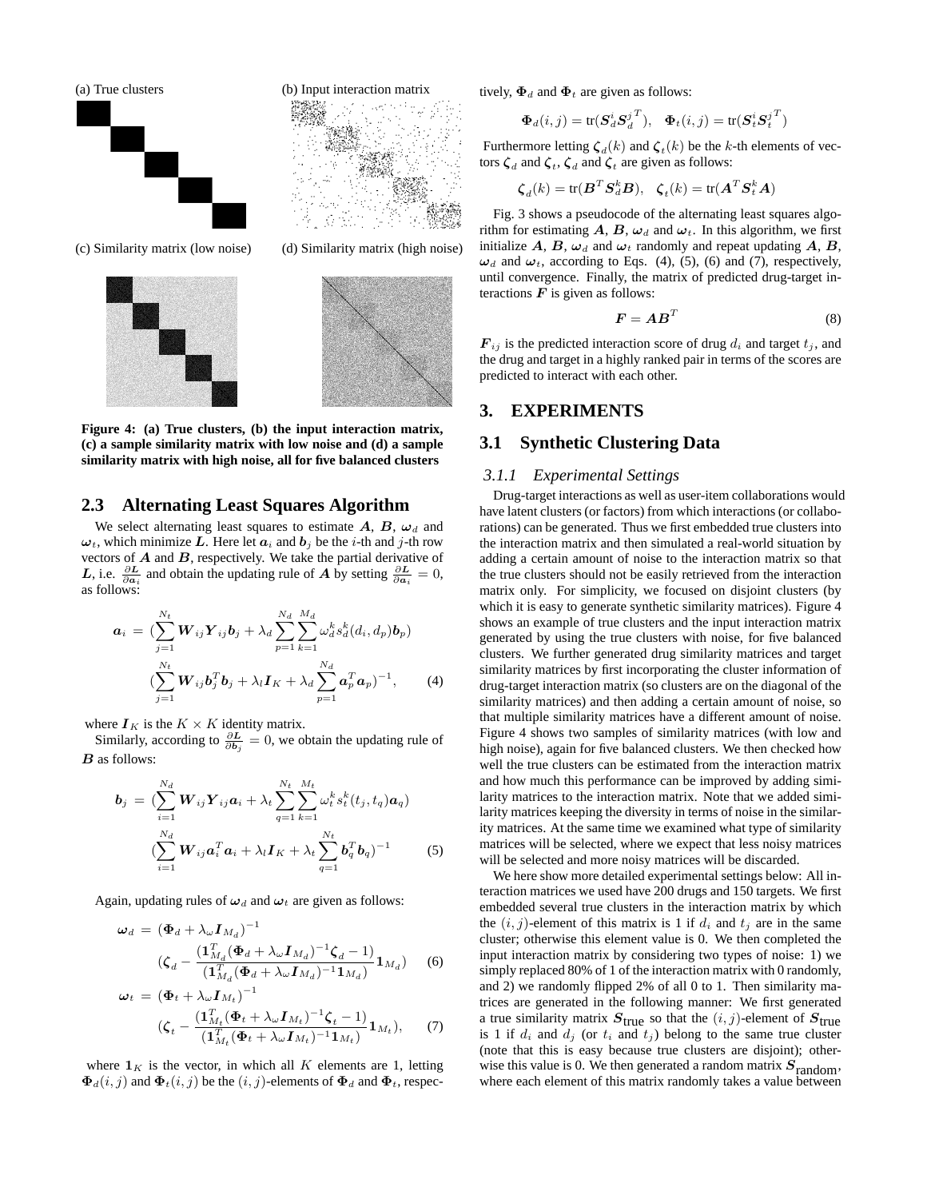





**Figure 4: (a) True clusters, (b) the input interaction matrix, (c) a sample similarity matrix with low noise and (d) a sample similarity matrix with high noise, all for five balanced clusters**

## **2.3 Alternating Least Squares Algorithm**

We select alternating least squares to estimate  $A$ ,  $B$ ,  $\omega_d$  and  $\omega_t$ , which minimize *L*. Here let  $a_i$  and  $b_j$  be the *i*-th and *j*-th row vectors of *A* and *B*, respectively. We take the partial derivative of *L*, i.e.  $\frac{\partial L}{\partial a_i}$  and obtain the updating rule of *A* by setting  $\frac{\partial L}{\partial a_i} = 0$ , as follows:

$$
\boldsymbol{a}_{i} = \left( \sum_{j=1}^{N_{t}} \boldsymbol{W}_{ij} \boldsymbol{Y}_{ij} \boldsymbol{b}_{j} + \lambda_{d} \sum_{p=1}^{N_{d}} \sum_{k=1}^{M_{d}} \omega_{d}^{k} s_{d}^{k}(d_{i}, d_{p}) \boldsymbol{b}_{p} \right)
$$

$$
\left( \sum_{j=1}^{N_{t}} \boldsymbol{W}_{ij} \boldsymbol{b}_{j}^{T} \boldsymbol{b}_{j} + \lambda_{l} \boldsymbol{I}_{K} + \lambda_{d} \sum_{p=1}^{N_{d}} \boldsymbol{a}_{p}^{T} \boldsymbol{a}_{p} \right)^{-1}, \qquad (4)
$$

where  $I_K$  is the  $K \times K$  identity matrix.

Similarly, according to  $\frac{\partial L}{\partial b_j} = 0$ , we obtain the updating rule of *B* as follows:

$$
\boldsymbol{b}_{j} = \left( \sum_{i=1}^{N_d} \boldsymbol{W}_{ij} \boldsymbol{Y}_{ij} \boldsymbol{a}_{i} + \lambda_t \sum_{q=1}^{N_t} \sum_{k=1}^{M_t} \omega_t^k s_t^k(t_j, t_q) \boldsymbol{a}_{q} \right)
$$

$$
\left( \sum_{i=1}^{N_d} \boldsymbol{W}_{ij} \boldsymbol{a}_{i}^{T} \boldsymbol{a}_{i} + \lambda_t \boldsymbol{I}_{K} + \lambda_t \sum_{q=1}^{N_t} \boldsymbol{b}_{q}^{T} \boldsymbol{b}_{q} \right)^{-1} \qquad (5)
$$

Again, updating rules of  $\omega_d$  and  $\omega_t$  are given as follows:

$$
\omega_d = (\Phi_d + \lambda_\omega \mathbf{I}_{M_d})^{-1}
$$
  

$$
(\zeta_d - \frac{(\mathbf{1}_{M_d}^T (\Phi_d + \lambda_\omega \mathbf{I}_{M_d})^{-1} \zeta_d - 1)}{(\mathbf{1}_{M_d}^T (\Phi_d + \lambda_\omega \mathbf{I}_{M_d})^{-1} \mathbf{1}_{M_d})} \mathbf{1}_{M_d})
$$
 (6)

$$
\boldsymbol{\omega}_t = (\boldsymbol{\Phi}_t + \lambda_{\omega} \boldsymbol{I}_{M_t})^{-1} (\boldsymbol{\zeta}_t - \frac{(\mathbf{1}_{M_t}^T (\boldsymbol{\Phi}_t + \lambda_{\omega} \boldsymbol{I}_{M_t})^{-1} \boldsymbol{\zeta}_t - 1)}{(\mathbf{1}_{M_t}^T (\boldsymbol{\Phi}_t + \lambda_{\omega} \boldsymbol{I}_{M_t})^{-1} \mathbf{1}_{M_t})} \mathbf{1}_{M_t}),
$$
(7)

where  $\mathbf{1}_K$  is the vector, in which all K elements are 1, letting  $\Phi_d(i, j)$  and  $\Phi_t(i, j)$  be the  $(i, j)$ -elements of  $\Phi_d$  and  $\Phi_t$ , respectively,  $\Phi_d$  and  $\Phi_t$  are given as follows:

$$
\Phi_d(i,j) = \text{tr}(\boldsymbol{S}_d^i \boldsymbol{S}_d^{j\,T}), \quad \Phi_t(i,j) = \text{tr}(\boldsymbol{S}_t^i \boldsymbol{S}_t^{j\,T})
$$

Furthermore letting  $\zeta_d(k)$  and  $\zeta_t(k)$  be the k-th elements of vectors  $\zeta_d$  and  $\zeta_t$ ,  $\zeta_d$  and  $\zeta_t$  are given as follows:

$$
\boldsymbol{\zeta}_d(k) = \text{tr}(\boldsymbol{B}^T \boldsymbol{S}_d^k \boldsymbol{B}), \ \ \boldsymbol{\zeta}_t(k) = \text{tr}(\boldsymbol{A}^T \boldsymbol{S}_t^k \boldsymbol{A})
$$

Fig. 3 shows a pseudocode of the alternating least squares algorithm for estimating  $A$ ,  $B$ ,  $\omega_d$  and  $\omega_t$ . In this algorithm, we first initialize  $A$ ,  $B$ ,  $\omega_d$  and  $\omega_t$  randomly and repeat updating  $A$ ,  $B$ ,  $\omega_d$  and  $\omega_t$ , according to Eqs. (4), (5), (6) and (7), respectively, until convergence. Finally, the matrix of predicted drug-target interactions  $\boldsymbol{F}$  is given as follows:

$$
\boldsymbol{F} = \boldsymbol{A}\boldsymbol{B}^T \tag{8}
$$

 $\mathbf{F}_{ij}$  is the predicted interaction score of drug  $d_i$  and target  $t_j$ , and the drug and target in a highly ranked pair in terms of the scores are predicted to interact with each other.

## **3. EXPERIMENTS**

## **3.1 Synthetic Clustering Data**

#### *3.1.1 Experimental Settings*

Drug-target interactions as well as user-item collaborations would have latent clusters (or factors) from which interactions (or collaborations) can be generated. Thus we first embedded true clusters into the interaction matrix and then simulated a real-world situation by adding a certain amount of noise to the interaction matrix so that the true clusters should not be easily retrieved from the interaction matrix only. For simplicity, we focused on disjoint clusters (by which it is easy to generate synthetic similarity matrices). Figure 4 shows an example of true clusters and the input interaction matrix generated by using the true clusters with noise, for five balanced clusters. We further generated drug similarity matrices and target similarity matrices by first incorporating the cluster information of drug-target interaction matrix (so clusters are on the diagonal of the similarity matrices) and then adding a certain amount of noise, so that multiple similarity matrices have a different amount of noise. Figure 4 shows two samples of similarity matrices (with low and high noise), again for five balanced clusters. We then checked how well the true clusters can be estimated from the interaction matrix and how much this performance can be improved by adding similarity matrices to the interaction matrix. Note that we added similarity matrices keeping the diversity in terms of noise in the similarity matrices. At the same time we examined what type of similarity matrices will be selected, where we expect that less noisy matrices will be selected and more noisy matrices will be discarded.

We here show more detailed experimental settings below: All interaction matrices we used have 200 drugs and 150 targets. We first embedded several true clusters in the interaction matrix by which the  $(i, j)$ -element of this matrix is 1 if  $d_i$  and  $t_j$  are in the same cluster; otherwise this element value is 0. We then completed the input interaction matrix by considering two types of noise: 1) we simply replaced 80% of 1 of the interaction matrix with 0 randomly, and 2) we randomly flipped 2% of all 0 to 1. Then similarity matrices are generated in the following manner: We first generated a true similarity matrix  $S_{true}$  so that the  $(i, j)$ -element of  $S_{true}$ is 1 if  $d_i$  and  $d_j$  (or  $t_i$  and  $t_j$ ) belong to the same true cluster (note that this is easy because true clusters are disjoint); otherwise this value is 0. We then generated a random matrix *S*random, where each element of this matrix randomly takes a value between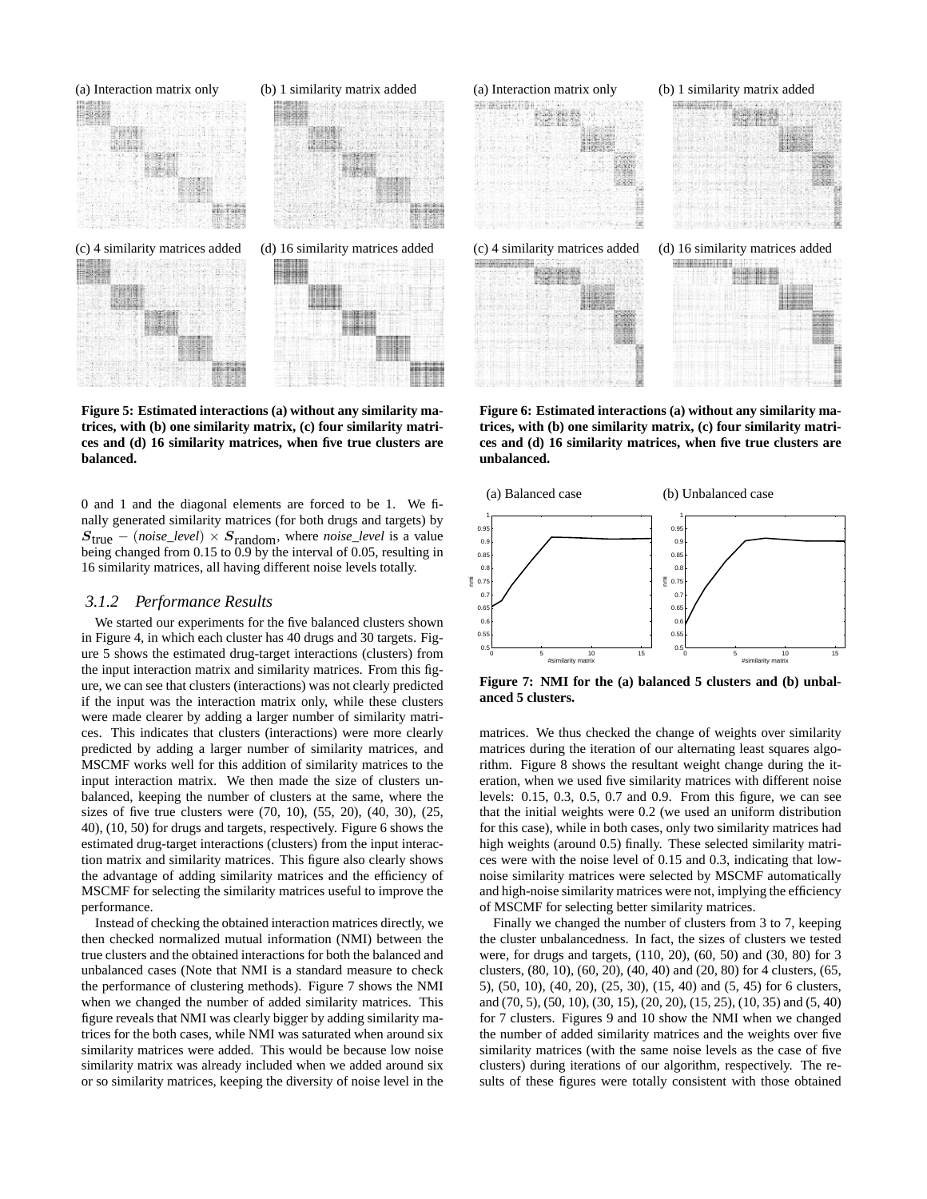

**Figure 5: Estimated interactions (a) without any similarity matrices, with (b) one similarity matrix, (c) four similarity matrices and (d) 16 similarity matrices, when five true clusters are balanced.**

0 and 1 and the diagonal elements are forced to be 1. We finally generated similarity matrices (for both drugs and targets) by  $S_{true}$  – (*noise\_level*) ×  $S_{random}$ , where *noise\_level* is a value being changed from 0.15 to 0.9 by the interval of 0.05, resulting in 16 similarity matrices, all having different noise levels totally.

#### *3.1.2 Performance Results*

We started our experiments for the five balanced clusters shown in Figure 4, in which each cluster has 40 drugs and 30 targets. Figure 5 shows the estimated drug-target interactions (clusters) from the input interaction matrix and similarity matrices. From this figure, we can see that clusters (interactions) was not clearly predicted if the input was the interaction matrix only, while these clusters were made clearer by adding a larger number of similarity matrices. This indicates that clusters (interactions) were more clearly predicted by adding a larger number of similarity matrices, and MSCMF works well for this addition of similarity matrices to the input interaction matrix. We then made the size of clusters unbalanced, keeping the number of clusters at the same, where the sizes of five true clusters were (70, 10), (55, 20), (40, 30), (25, 40), (10, 50) for drugs and targets, respectively. Figure 6 shows the estimated drug-target interactions (clusters) from the input interaction matrix and similarity matrices. This figure also clearly shows the advantage of adding similarity matrices and the efficiency of MSCMF for selecting the similarity matrices useful to improve the performance.

Instead of checking the obtained interaction matrices directly, we then checked normalized mutual information (NMI) between the true clusters and the obtained interactions for both the balanced and unbalanced cases (Note that NMI is a standard measure to check the performance of clustering methods). Figure 7 shows the NMI when we changed the number of added similarity matrices. This figure reveals that NMI was clearly bigger by adding similarity matrices for the both cases, while NMI was saturated when around six similarity matrices were added. This would be because low noise similarity matrix was already included when we added around six or so similarity matrices, keeping the diversity of noise level in the



**Figure 6: Estimated interactions (a) without any similarity matrices, with (b) one similarity matrix, (c) four similarity matrices and (d) 16 similarity matrices, when five true clusters are unbalanced.**



**Figure 7: NMI for the (a) balanced 5 clusters and (b) unbalanced 5 clusters.**

matrices. We thus checked the change of weights over similarity matrices during the iteration of our alternating least squares algorithm. Figure 8 shows the resultant weight change during the iteration, when we used five similarity matrices with different noise levels: 0.15, 0.3, 0.5, 0.7 and 0.9. From this figure, we can see that the initial weights were 0.2 (we used an uniform distribution for this case), while in both cases, only two similarity matrices had high weights (around 0.5) finally. These selected similarity matrices were with the noise level of 0.15 and 0.3, indicating that lownoise similarity matrices were selected by MSCMF automatically and high-noise similarity matrices were not, implying the efficiency of MSCMF for selecting better similarity matrices.

Finally we changed the number of clusters from 3 to 7, keeping the cluster unbalancedness. In fact, the sizes of clusters we tested were, for drugs and targets, (110, 20), (60, 50) and (30, 80) for 3 clusters, (80, 10), (60, 20), (40, 40) and (20, 80) for 4 clusters, (65, 5), (50, 10), (40, 20), (25, 30), (15, 40) and (5, 45) for 6 clusters, and (70, 5), (50, 10), (30, 15), (20, 20), (15, 25), (10, 35) and (5, 40) for 7 clusters. Figures 9 and 10 show the NMI when we changed the number of added similarity matrices and the weights over five similarity matrices (with the same noise levels as the case of five clusters) during iterations of our algorithm, respectively. The results of these figures were totally consistent with those obtained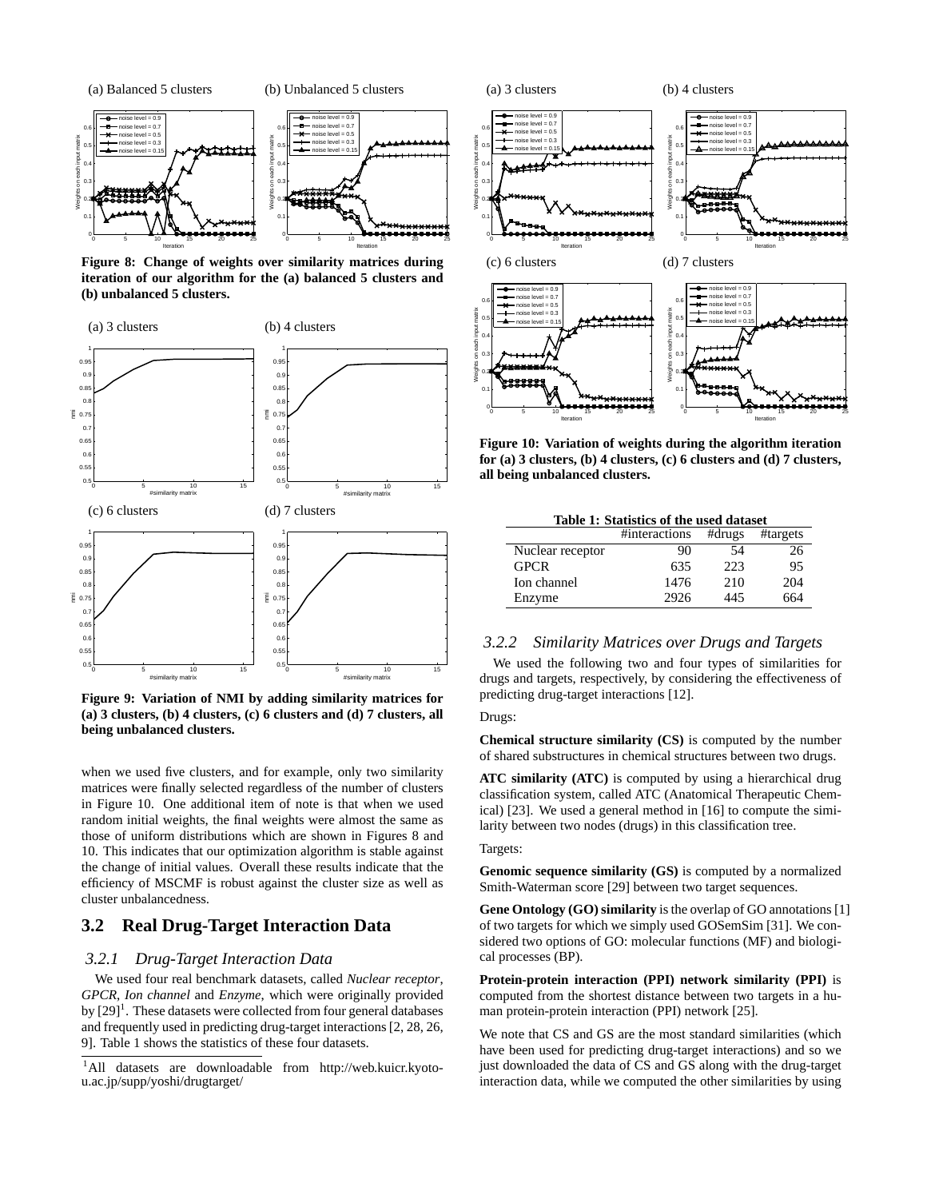

**Figure 8: Change of weights over similarity matrices during iteration of our algorithm for the (a) balanced 5 clusters and (b) unbalanced 5 clusters.**



**Figure 9: Variation of NMI by adding similarity matrices for (a) 3 clusters, (b) 4 clusters, (c) 6 clusters and (d) 7 clusters, all being unbalanced clusters.**

when we used five clusters, and for example, only two similarity matrices were finally selected regardless of the number of clusters in Figure 10. One additional item of note is that when we used random initial weights, the final weights were almost the same as those of uniform distributions which are shown in Figures 8 and 10. This indicates that our optimization algorithm is stable against the change of initial values. Overall these results indicate that the efficiency of MSCMF is robust against the cluster size as well as cluster unbalancedness.

# **3.2 Real Drug-Target Interaction Data**

## *3.2.1 Drug-Target Interaction Data*

We used four real benchmark datasets, called *Nuclear receptor*, *GPCR*, *Ion channel* and *Enzyme*, which were originally provided by  $[29]$ <sup>1</sup>. These datasets were collected from four general databases and frequently used in predicting drug-target interactions [2, 28, 26, 9]. Table 1 shows the statistics of these four datasets.



**Figure 10: Variation of weights during the algorithm iteration for (a) 3 clusters, (b) 4 clusters, (c) 6 clusters and (d) 7 clusters, all being unbalanced clusters.**

 $0 \longrightarrow 0 \longrightarrow 0$  5  $10 \longrightarrow 10$   $15 \longrightarrow 20$   $20$   $25 \longrightarrow 25$ 

Iteration

<sup>0</sup> <sup>5</sup> <sup>10</sup> <sup>15</sup> <sup>20</sup> <sup>25</sup> <sup>0</sup>

Iteration

| Table 1: Statistics of the used dataset |               |                 |     |  |  |
|-----------------------------------------|---------------|-----------------|-----|--|--|
|                                         | #interactions | #drugs #targets |     |  |  |
| Nuclear receptor                        | 90            | 54              | 26  |  |  |
| <b>GPCR</b>                             | 635           | 223             | 95  |  |  |
| Ion channel                             | 1476          | 210             | 204 |  |  |

Enzyme 2926 445 664

#### *3.2.2 Similarity Matrices over Drugs and Targets*

We used the following two and four types of similarities for drugs and targets, respectively, by considering the effectiveness of predicting drug-target interactions [12].

Drugs:

**Chemical structure similarity (CS)** is computed by the number of shared substructures in chemical structures between two drugs.

**ATC similarity (ATC)** is computed by using a hierarchical drug classification system, called ATC (Anatomical Therapeutic Chemical) [23]. We used a general method in [16] to compute the similarity between two nodes (drugs) in this classification tree.

## Targets:

**Genomic sequence similarity (GS)** is computed by a normalized Smith-Waterman score [29] between two target sequences.

**Gene Ontology (GO) similarity** is the overlap of GO annotations [1] of two targets for which we simply used GOSemSim [31]. We considered two options of GO: molecular functions (MF) and biological processes (BP).

**Protein-protein interaction (PPI) network similarity (PPI)** is computed from the shortest distance between two targets in a human protein-protein interaction (PPI) network [25].

We note that CS and GS are the most standard similarities (which have been used for predicting drug-target interactions) and so we just downloaded the data of CS and GS along with the drug-target interaction data, while we computed the other similarities by using

<sup>&</sup>lt;sup>1</sup>All datasets are downloadable from http://web.kuicr.kyotou.ac.jp/supp/yoshi/drugtarget/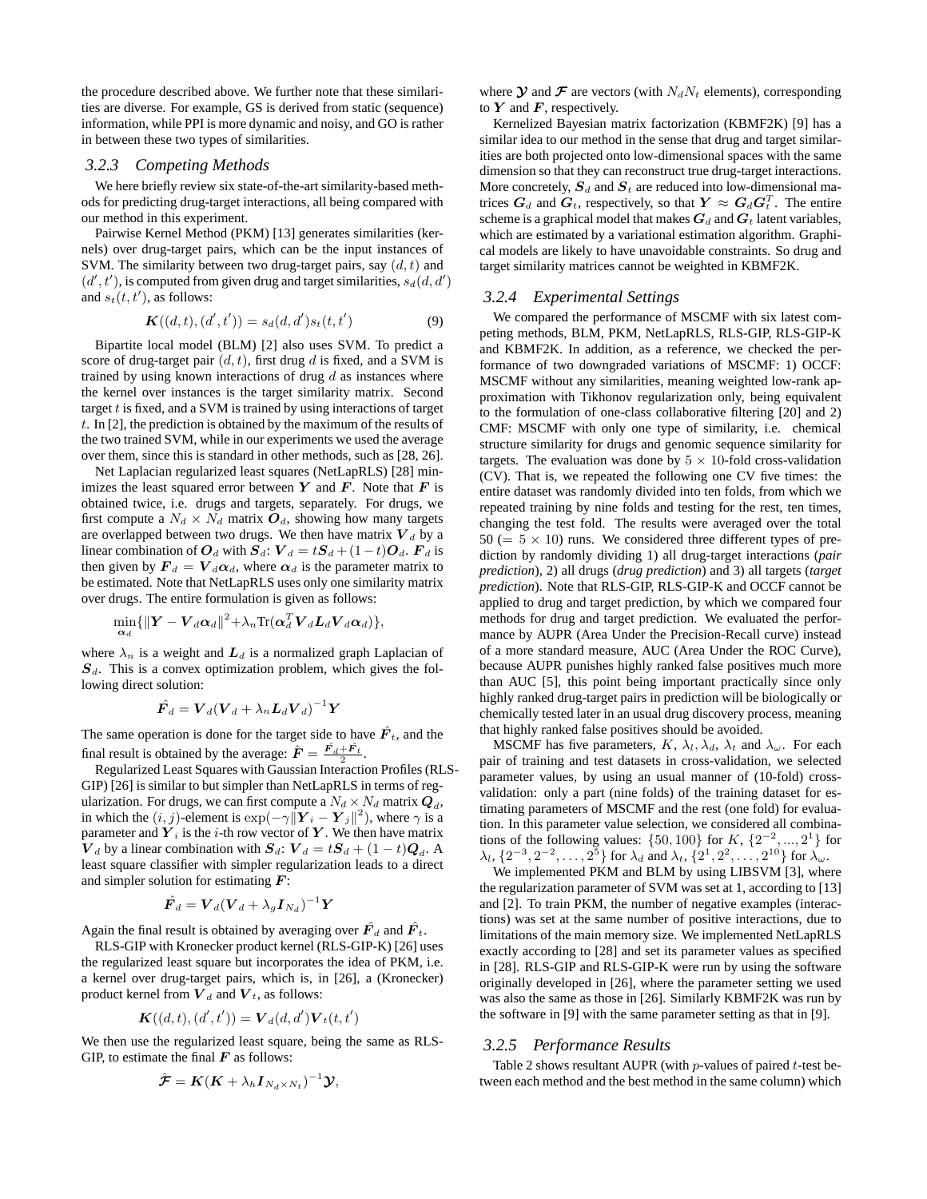the procedure described above. We further note that these similarities are diverse. For example, GS is derived from static (sequence) information, while PPI is more dynamic and noisy, and GO is rather in between these two types of similarities.

#### *3.2.3 Competing Methods*

We here briefly review six state-of-the-art similarity-based methods for predicting drug-target interactions, all being compared with our method in this experiment.

Pairwise Kernel Method (PKM) [13] generates similarities (kernels) over drug-target pairs, which can be the input instances of SVM. The similarity between two drug-target pairs, say  $(d, t)$  and  $(d', t')$ , is computed from given drug and target similarities,  $s_d(d, d')$ <br>and  $s, (t, t')$  as follows: and  $s_t(t, t')$ , as follows:

$$
\mathbf{K}((d,t),(d',t')) = s_d(d,d')s_t(t,t')
$$
\n(9)

Bipartite local model (BLM) [2] also uses SVM. To predict a score of drug-target pair  $(d, t)$ , first drug d is fixed, and a SVM is trained by using known interactions of drug  $d$  as instances where the kernel over instances is the target similarity matrix. Second target  $t$  is fixed, and a SVM is trained by using interactions of target t. In [2], the prediction is obtained by the maximum of the results of the two trained SVM, while in our experiments we used the average over them, since this is standard in other methods, such as [28, 26].

Net Laplacian regularized least squares (NetLapRLS) [28] minimizes the least squared error between  $Y$  and  $F$ . Note that  $F$  is obtained twice, i.e. drugs and targets, separately. For drugs, we first compute a  $N_d \times N_d$  matrix  $\mathbf{O}_d$ , showing how many targets are overlapped between two drugs. We then have matrix  $V_d$  by a linear combination of  $O_d$  with  $S_d$ :  $V_d = tS_d + (1-t)O_d$ .  $F_d$  is then given by  $\mathbf{F}_d = \mathbf{V}_d \alpha_d$ , where  $\alpha_d$  is the parameter matrix to be estimated. Note that NetLapRLS uses only one similarity matrix over drugs. The entire formulation is given as follows:

$$
\min_{\boldsymbol{\alpha}_d} \{ ||\boldsymbol{Y} - \boldsymbol{V}_d \boldsymbol{\alpha}_d||^2 + \lambda_n \text{Tr}(\boldsymbol{\alpha}_d^T \boldsymbol{V}_d \boldsymbol{L}_d \boldsymbol{V}_d \boldsymbol{\alpha}_d) \},
$$

where  $\lambda_n$  is a weight and  $\mathbf{L}_d$  is a normalized graph Laplacian of  $S_d$ . This is a convex optimization problem, which gives the following direct solution:

$$
\hat{\boldsymbol{F}}_d = \boldsymbol{V}_d(\boldsymbol{V}_d + \lambda_n \boldsymbol{L}_d \boldsymbol{V}_d)^{-1} \boldsymbol{Y}
$$

The same operation is done for the target side to have  $\hat{F}_t$ , and the final result is obtained by the average:  $\hat{F} = \frac{\hat{F}_d + \hat{F}_t}{2}$ .<br>Requierized Least Squares with Gaussian Interaction

Regularized Least Squares with Gaussian Interaction Profiles (RLS-GIP) [26] is similar to but simpler than NetLapRLS in terms of regularization. For drugs, we can first compute a  $N_d \times N_d$  matrix  $Q_d$ , in which the  $(i, j)$ -element is  $\exp(-\gamma ||\boldsymbol{Y}_i - \boldsymbol{Y}_j||^2)$ , where  $\gamma$  is a parameter and  $Y_i$  is the *i*-th row vector of  $Y$ . We then have matrix *V*<sub>d</sub> by a linear combination with  $S_d$ :  $V_d = tS_d + (1-t)Q_d$ . A least square classifier with simpler regularization leads to a direct and simpler solution for estimating *F* :

$$
\hat{\boldsymbol{F}}_d = \boldsymbol{V}_d(\boldsymbol{V}_d + \lambda_g \boldsymbol{I}_{N_d})^{-1} \boldsymbol{Y}
$$

Again the final result is obtained by averaging over  $\hat{F}_d$  and  $\hat{F}_t$ .

RLS-GIP with Kronecker product kernel (RLS-GIP-K) [26] uses the regularized least square but incorporates the idea of PKM, i.e. a kernel over drug-target pairs, which is, in [26], a (Kronecker) product kernel from  $V_d$  and  $V_t$ , as follows:

$$
\mathbf{K}((d,t),(d',t')) = \mathbf{V}_d(d,d')\mathbf{V}_t(t,t')
$$

We then use the regularized least square, being the same as RLS-GIP, to estimate the final  $\boldsymbol{F}$  as follows:

$$
\hat{\boldsymbol{\mathcal{F}}} = \boldsymbol{K}(\boldsymbol{K} + \lambda_h \boldsymbol{I}_{N_d \times N_t})^{-1} \boldsymbol{\mathcal{Y}},
$$

where  $\mathbf{\mathcal{Y}}$  and  $\mathbf{\mathcal{F}}$  are vectors (with  $N_dN_t$  elements), corresponding to  $Y$  and  $F$ , respectively.

Kernelized Bayesian matrix factorization (KBMF2K) [9] has a similar idea to our method in the sense that drug and target similarities are both projected onto low-dimensional spaces with the same dimension so that they can reconstruct true drug-target interactions. More concretely,  $S_d$  and  $S_t$  are reduced into low-dimensional matrices  $G_d$  and  $G_t$ , respectively, so that  $Y \approx G_d G_t^T$ . The entire scheme is a graphical model that makes  $G_d$  and  $G_t$  latent variables, which are estimated by a variational estimation algorithm. Graphical models are likely to have unavoidable constraints. So drug and target similarity matrices cannot be weighted in KBMF2K.

#### *3.2.4 Experimental Settings*

We compared the performance of MSCMF with six latest competing methods, BLM, PKM, NetLapRLS, RLS-GIP, RLS-GIP-K and KBMF2K. In addition, as a reference, we checked the performance of two downgraded variations of MSCMF: 1) OCCF: MSCMF without any similarities, meaning weighted low-rank approximation with Tikhonov regularization only, being equivalent to the formulation of one-class collaborative filtering [20] and 2) CMF: MSCMF with only one type of similarity, i.e. chemical structure similarity for drugs and genomic sequence similarity for targets. The evaluation was done by  $5 \times 10$ -fold cross-validation (CV). That is, we repeated the following one CV five times: the entire dataset was randomly divided into ten folds, from which we repeated training by nine folds and testing for the rest, ten times, changing the test fold. The results were averaged over the total  $50 (= 5 \times 10)$  runs. We considered three different types of prediction by randomly dividing 1) all drug-target interactions (*pair prediction*), 2) all drugs (*drug prediction*) and 3) all targets (*target prediction*). Note that RLS-GIP, RLS-GIP-K and OCCF cannot be applied to drug and target prediction, by which we compared four methods for drug and target prediction. We evaluated the performance by AUPR (Area Under the Precision-Recall curve) instead of a more standard measure, AUC (Area Under the ROC Curve), because AUPR punishes highly ranked false positives much more than AUC [5], this point being important practically since only highly ranked drug-target pairs in prediction will be biologically or chemically tested later in an usual drug discovery process, meaning that highly ranked false positives should be avoided.

MSCMF has five parameters,  $K$ ,  $\lambda_l$ ,  $\lambda_d$ ,  $\lambda_t$  and  $\lambda_\omega$ . For each pair of training and test datasets in cross-validation, we selected parameter values, by using an usual manner of (10-fold) crossvalidation: only a part (nine folds) of the training dataset for estimating parameters of MSCMF and the rest (one fold) for evaluation. In this parameter value selection, we considered all combinations of the following values: {50, 100} for K, {2<sup>-2</sup>, ..., 2<sup>1</sup>} for  $\lambda_l$ ,  $\{2^{-3}, 2^{-2}, \ldots, 2^5\}$  for  $\lambda_d$  and  $\lambda_t$ ,  $\{2^1, 2^2, \ldots, 2^{10}\}$  for  $\lambda_\omega$ .

We implemented PKM and BLM by using LIBSVM [3], where the regularization parameter of SVM was set at 1, according to [13] and [2]. To train PKM, the number of negative examples (interactions) was set at the same number of positive interactions, due to limitations of the main memory size. We implemented NetLapRLS exactly according to [28] and set its parameter values as specified in [28]. RLS-GIP and RLS-GIP-K were run by using the software originally developed in [26], where the parameter setting we used was also the same as those in [26]. Similarly KBMF2K was run by the software in [9] with the same parameter setting as that in [9].

#### *3.2.5 Performance Results*

Table 2 shows resultant AUPR (with  $p$ -values of paired  $t$ -test between each method and the best method in the same column) which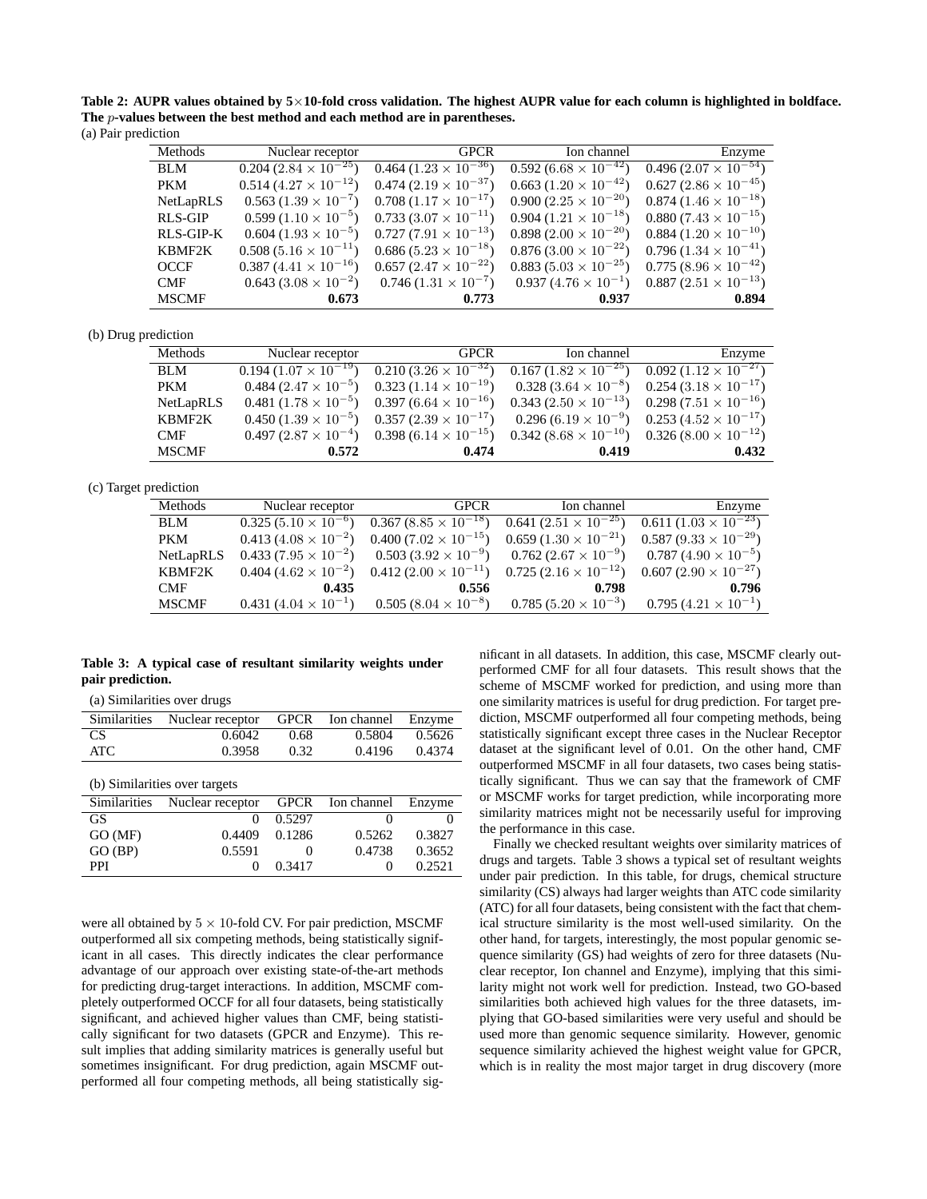**Table 2: AUPR values obtained by 5**×**10-fold cross validation. The highest AUPR value for each column is highlighted in boldface. The** p**-values between the best method and each method are in parentheses.** (a) Pair prediction

| Methods          | Nuclear receptor              | <b>GPCR</b>                 | Ion channel                    | Enzyme                      |
|------------------|-------------------------------|-----------------------------|--------------------------------|-----------------------------|
| <b>BLM</b>       | $0.204(2.84 \times 10^{-25})$ | $0.464(1.23\times10^{-36})$ | $0.592(6.68\times10^{-42})$    | $0.496(2.07\times10^{-54})$ |
| <b>PKM</b>       | $0.514(4.27\times10^{-12})$   | $0.474(2.19\times10^{-37})$ | $0.663 (1.20 \times 10^{-42})$ | $0.627(2.86\times10^{-45})$ |
| NetLapRLS        | $0.563(1.39\times10^{-7})$    | $0.708(1.17\times10^{-17})$ | $0.900(2.25\times10^{-20})$    | $0.874(1.46\times10^{-18})$ |
| <b>RLS-GIP</b>   | $0.599(1.10\times10^{-5})$    | $0.733(3.07\times10^{-11})$ | $0.904(1.21\times10^{-18})$    | $0.880(7.43\times10^{-15})$ |
| <b>RLS-GIP-K</b> | $0.604(1.93\times10^{-5})$    | $0.727(7.91\times10^{-13})$ | $0.898(2.00 \times 10^{-20})$  | $0.884(1.20\times10^{-10})$ |
| KBMF2K           | $0.508(5.16\times10^{-11})$   | $0.686(5.23\times10^{-18})$ | $0.876(3.00 \times 10^{-22})$  | $0.796(1.34\times10^{-41})$ |
| <b>OCCF</b>      | $0.387(4.41\times10^{-16})$   | $0.657(2.47\times10^{-22})$ | $0.883(5.03\times10^{-25})$    | $0.775(8.96\times10^{-42})$ |
| <b>CMF</b>       | $0.643(3.08\times10^{-2})$    | $0.746(1.31\times10^{-7})$  | $0.937(4.76\times10^{-1})$     | $0.887(2.51\times10^{-13})$ |
| <b>MSCMF</b>     | 0.673                         | 0.773                       | 0.937                          | 0.894                       |

#### (b) Drug prediction

| Methods          | Nuclear receptor               | <b>GPCR</b>                                                  | Ion channel                    | Enzyme                                                       |
|------------------|--------------------------------|--------------------------------------------------------------|--------------------------------|--------------------------------------------------------------|
| <b>BLM</b>       | $0.194 (1.07 \times 10^{-19})$ | $0.210(3.26\times10^{-32})$                                  | $0.167 (1.82 \times 10^{-25})$ | $0.092 (1.12 \times 10^{-27})$                               |
| <b>PKM</b>       |                                | $0.484 (2.47 \times 10^{-5})$ $0.323 (1.14 \times 10^{-19})$ |                                | $0.328 (3.64 \times 10^{-8})$ $0.254 (3.18 \times 10^{-17})$ |
| <b>NetLapRLS</b> |                                | $0.481 (1.78 \times 10^{-5})$ $0.397 (6.64 \times 10^{-16})$ | $0.343(2.50\times10^{-13})$    | $0.298(7.51\times10^{-16})$                                  |
| KBMF2K           | $0.450(1.39\times10^{-5})$     | $0.357(2.39\times10^{-17})$                                  | $0.296(6.19\times10^{-9})$     | $0.253(4.52\times10^{-17})$                                  |
| CMF.             |                                | $0.497 (2.87 \times 10^{-4})$ $0.398 (6.14 \times 10^{-15})$ | $0.342 (8.68 \times 10^{-10})$ | $0.326(8.00 \times 10^{-12})$                                |
| <b>MSCMF</b>     | 0.572                          | 0.474                                                        | 0.419                          | 0.432                                                        |

#### (c) Target prediction

| Methods      | Nuclear receptor           | <b>GPCR</b>                 | Ion channel                 | Enzyme                         |
|--------------|----------------------------|-----------------------------|-----------------------------|--------------------------------|
| <b>BLM</b>   | $0.325(5.10\times10^{-6})$ | $0.367(8.85\times10^{-18})$ | $0.641(2.51\times10^{-25})$ | $0.611 (1.03 \times 10^{-23})$ |
| <b>PKM</b>   | $0.413(4.08\times10^{-2})$ | $0.400(7.02\times10^{-15})$ | $0.659(1.30\times10^{-21})$ | $0.587(9.33\times10^{-29})$    |
| NetLapRLS    | $0.433(7.95\times10^{-2})$ | $0.503(3.92\times10^{-9})$  | $0.762(2.67\times10^{-9})$  | $0.787(4.90\times10^{-5})$     |
| KBMF2K       | $0.404(4.62\times10^{-2})$ | $0.412(2.00\times10^{-11})$ | $0.725(2.16\times10^{-12})$ | $0.607(2.90\times10^{-27})$    |
| <b>CMF</b>   | 0.435                      | 0.556                       | 0.798                       | 0.796                          |
| <b>MSCMF</b> | $0.431(4.04\times10^{-1})$ | $0.505(8.04\times10^{-8})$  | $0.785(5.20\times10^{-3})$  | $0.795(4.21\times10^{-1})$     |
|              |                            |                             |                             |                                |

#### **Table 3: A typical case of resultant similarity weights under pair prediction.**

| (a) Similarities over drugs |                                   |  |
|-----------------------------|-----------------------------------|--|
|                             | Similarities Muslear receptor GDC |  |

|      | Similarities Nuclear receptor GPCR Ion channel Enzyme |      |        |               |
|------|-------------------------------------------------------|------|--------|---------------|
| - CS | 0.6042                                                | 0.68 |        | 0.5804 0.5626 |
| ATC  | 0.3958                                                | 0.32 | 0.4196 | 0.4374        |

(b) Similarities over targets

|            | Similarities Nuclear receptor GPCR Ion channel Enzyme |               |        |        |
|------------|-------------------------------------------------------|---------------|--------|--------|
| GS.        |                                                       | 0.5297        |        |        |
| GO (MF)    |                                                       | 0.4409 0.1286 | 0.5262 | 0.3827 |
| $GO$ (BP)  | 0.5591                                                |               | 0.4738 | 0.3652 |
| <b>PPI</b> | $\theta$                                              | 0.3417        |        | 0.2521 |

were all obtained by  $5 \times 10$ -fold CV. For pair prediction, MSCMF outperformed all six competing methods, being statistically significant in all cases. This directly indicates the clear performance advantage of our approach over existing state-of-the-art methods for predicting drug-target interactions. In addition, MSCMF completely outperformed OCCF for all four datasets, being statistically significant, and achieved higher values than CMF, being statistically significant for two datasets (GPCR and Enzyme). This result implies that adding similarity matrices is generally useful but sometimes insignificant. For drug prediction, again MSCMF outperformed all four competing methods, all being statistically significant in all datasets. In addition, this case, MSCMF clearly outperformed CMF for all four datasets. This result shows that the scheme of MSCMF worked for prediction, and using more than one similarity matrices is useful for drug prediction. For target prediction, MSCMF outperformed all four competing methods, being statistically significant except three cases in the Nuclear Receptor dataset at the significant level of 0.01. On the other hand, CMF outperformed MSCMF in all four datasets, two cases being statistically significant. Thus we can say that the framework of CMF or MSCMF works for target prediction, while incorporating more similarity matrices might not be necessarily useful for improving the performance in this case.

Finally we checked resultant weights over similarity matrices of drugs and targets. Table 3 shows a typical set of resultant weights under pair prediction. In this table, for drugs, chemical structure similarity (CS) always had larger weights than ATC code similarity (ATC) for all four datasets, being consistent with the fact that chemical structure similarity is the most well-used similarity. On the other hand, for targets, interestingly, the most popular genomic sequence similarity (GS) had weights of zero for three datasets (Nuclear receptor, Ion channel and Enzyme), implying that this similarity might not work well for prediction. Instead, two GO-based similarities both achieved high values for the three datasets, implying that GO-based similarities were very useful and should be used more than genomic sequence similarity. However, genomic sequence similarity achieved the highest weight value for GPCR, which is in reality the most major target in drug discovery (more